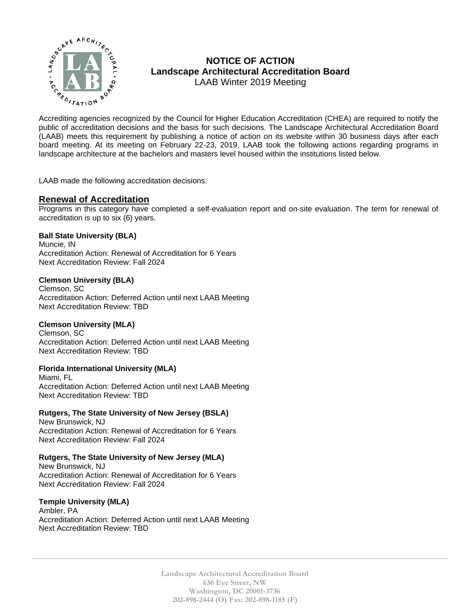

# **NOTICE OF ACTION Landscape Architectural Accreditation Board**  LAAB Winter 2019 Meeting

MOTICE OF ACTION<br>  $\sum_{k}^{n}$  MOTICE OF ACTION<br>
Landscape Architectural Accreditation Board<br>
LAAB Winter 2019 Meeting<br>
Accrediting agencies recognized by the Council for Higher Education Accreditation (CHEA) are required t public of accreditation decisions and the basis for such decisions. The Landscape Architectural Accreditation Board (LAAB) meets this requirement by publishing a notice of action on its website within 30 business days after each board meeting. At its meeting on February 22-23, 2019, LAAB took the following actions regarding programs in landscape architecture at the bachelors and masters level housed within the institutions listed below.

LAAB made the following accreditation decisions:

## **Renewal of Accreditation**

Programs in this category have completed a self-evaluation report and on-site evaluation. The term for renewal of accreditation is up to six (6) years.

#### **Ball State University (BLA)**

Muncie, IN Accreditation Action: Renewal of Accreditation for 6 Years Next Accreditation Review: Fall 2024

#### **Clemson University (BLA)**

Clemson, SC Accreditation Action: Deferred Action until next LAAB Meeting Next Accreditation Review: TBD

#### **Clemson University (MLA)**

Clemson, SC Accreditation Action: Deferred Action until next LAAB Meeting Next Accreditation Review: TBD

#### **Florida International University (MLA)**

Miami, FL Accreditation Action: Deferred Action until next LAAB Meeting Next Accreditation Review: TBD

#### **Rutgers, The State University of New Jersey (BSLA)**

New Brunswick, NJ Accreditation Action: Renewal of Accreditation for 6 Years Next Accreditation Review: Fall 2024

#### **Rutgers, The State University of New Jersey (MLA)**

New Brunswick, NJ Accreditation Action: Renewal of Accreditation for 6 Years Next Accreditation Review: Fall 2024

#### **Temple University (MLA)**

Ambler, PA Accreditation Action: Deferred Action until next LAAB Meeting Next Accreditation Review: TBD

> **Landscape Architectural Accreditation Board 636 Eye Street, NW Washington, DC 20001-3736 202-898-2444 (O) Fax: 202-898-1185 (F)**